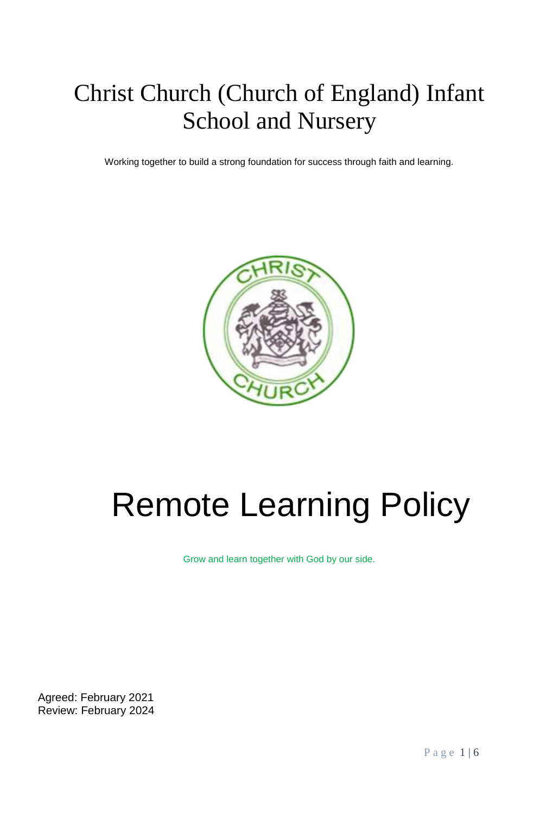# Christ Church (Church of England) Infant School and Nursery

Working together to build a strong foundation for success through faith and learning.



# Remote Learning Policy

Grow and learn together with God by our side.

Agreed: February 2021 Review: February 2024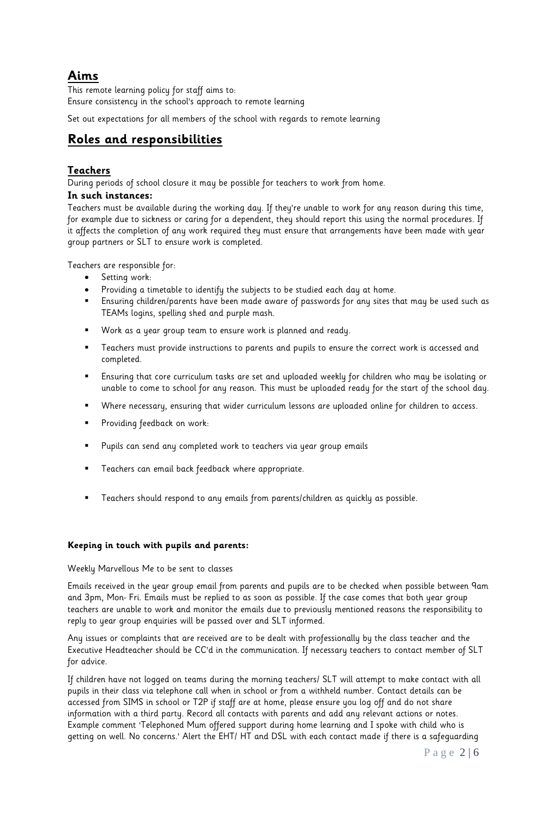# **Aims**

This remote learning policy for staff aims to: Ensure consistency in the school's approach to remote learning

Set out expectations for all members of the school with regards to remote learning

# **Roles and responsibilities**

#### **Teachers**

During periods of school closure it may be possible for teachers to work from home.

#### **In such instances:**

Teachers must be available during the working day. If they're unable to work for any reason during this time, for example due to sickness or caring for a dependent, they should report this using the normal procedures. If it affects the completion of any work required they must ensure that arrangements have been made with year group partners or SLT to ensure work is completed.

Teachers are responsible for:

- **•** Setting work:
- Providing a timetable to identify the subjects to be studied each day at home.
- Ensuring children/parents have been made aware of passwords for any sites that may be used such as TEAMs logins, spelling shed and purple mash.
- Work as a year group team to ensure work is planned and ready.
- Teachers must provide instructions to parents and pupils to ensure the correct work is accessed and completed.
- Ensuring that core curriculum tasks are set and uploaded weekly for children who may be isolating or unable to come to school for any reason. This must be uploaded ready for the start of the school day.
- Where necessary, ensuring that wider curriculum lessons are uploaded online for children to access.
- Providing feedback on work:
- Pupils can send any completed work to teachers via year group emails
- Teachers can email back feedback where appropriate.
- Teachers should respond to any emails from parents/children as quickly as possible.

#### **Keeping in touch with pupils and parents:**

#### Weekly Marvellous Me to be sent to classes

Emails received in the year group email from parents and pupils are to be checked when possible between 9am and 3pm, Mon- Fri. Emails must be replied to as soon as possible. If the case comes that both year group teachers are unable to work and monitor the emails due to previously mentioned reasons the responsibility to reply to year group enquiries will be passed over and SLT informed.

Any issues or complaints that are received are to be dealt with professionally by the class teacher and the Executive Headteacher should be CC'd in the communication. If necessary teachers to contact member of SLT for advice.

If children have not logged on teams during the morning teachers/ SLT will attempt to make contact with all pupils in their class via telephone call when in school or from a withheld number. Contact details can be accessed from SIMS in school or T2P if staff are at home, please ensure you log off and do not share information with a third party. Record all contacts with parents and add any relevant actions or notes. Example comment 'Telephoned Mum offered support during home learning and I spoke with child who is getting on well. No concerns.' Alert the EHT/ HT and DSL with each contact made if there is a safeguarding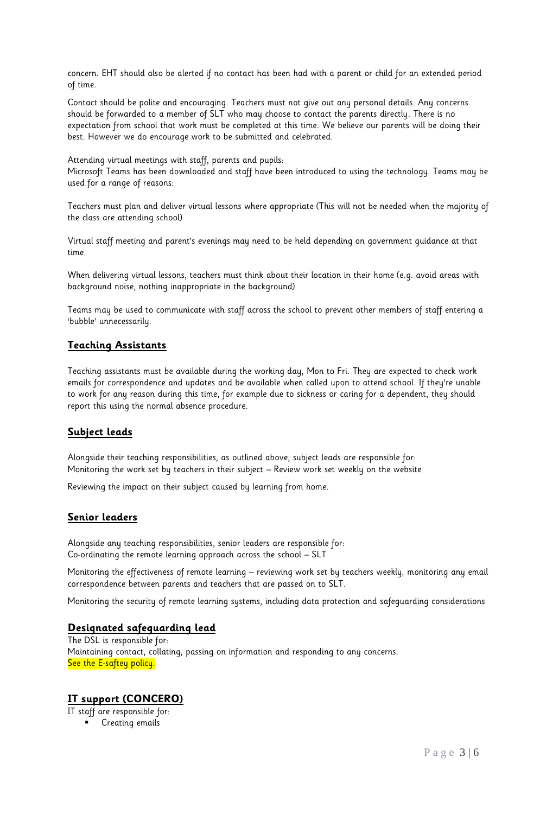concern. EHT should also be alerted if no contact has been had with a parent or child for an extended period of time.

Contact should be polite and encouraging. Teachers must not give out any personal details. Any concerns should be forwarded to a member of SLT who may choose to contact the parents directly. There is no expectation from school that work must be completed at this time. We believe our parents will be doing their best. However we do encourage work to be submitted and celebrated.

Attending virtual meetings with staff, parents and pupils:

Microsoft Teams has been downloaded and staff have been introduced to using the technology. Teams may be used for a range of reasons:

Teachers must plan and deliver virtual lessons where appropriate (This will not be needed when the majority of the class are attending school)

Virtual staff meeting and parent's evenings may need to be held depending on government guidance at that time.

When delivering virtual lessons, teachers must think about their location in their home (e.g. avoid areas with background noise, nothing inappropriate in the background)

Teams may be used to communicate with staff across the school to prevent other members of staff entering a 'bubble' unnecessarily.

#### **Teaching Assistants**

Teaching assistants must be available during the working day, Mon to Fri. They are expected to check work emails for correspondence and updates and be available when called upon to attend school. If they're unable to work for any reason during this time, for example due to sickness or caring for a dependent, they should report this using the normal absence procedure.

#### **Subject leads**

Alongside their teaching responsibilities, as outlined above, subject leads are responsible for: Monitoring the work set by teachers in their subject – Review work set weekly on the website

Reviewing the impact on their subject caused by learning from home.

#### **Senior leaders**

Alongside any teaching responsibilities, senior leaders are responsible for: Co-ordinating the remote learning approach across the school – SLT

Monitoring the effectiveness of remote learning – reviewing work set by teachers weekly, monitoring any email correspondence between parents and teachers that are passed on to SLT.

Monitoring the security of remote learning systems, including data protection and safeguarding considerations

#### **Designated safeguarding lead**

The DSL is responsible for: Maintaining contact, collating, passing on information and responding to any concerns. See the E-saftey policy.

#### **IT support (CONCERO)**

IT staff are responsible for:

Creating emails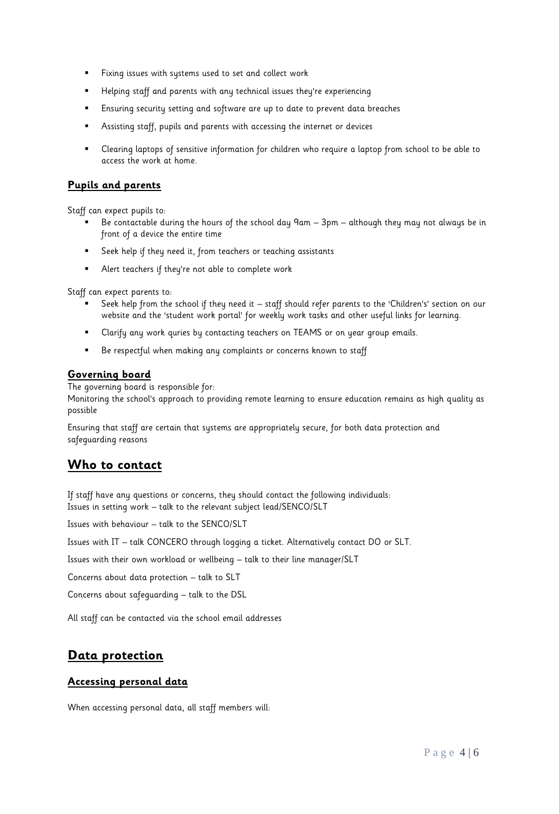- Fixing issues with systems used to set and collect work
- Helping staff and parents with any technical issues they're experiencing
- Ensuring security setting and software are up to date to prevent data breaches
- Assisting staff, pupils and parents with accessing the internet or devices
- Clearing laptops of sensitive information for children who require a laptop from school to be able to access the work at home.

#### **Pupils and parents**

Staff can expect pupils to:

- Be contactable during the hours of the school day 9am 3pm although they may not always be in front of a device the entire time
- Seek help if they need it, from teachers or teaching assistants
- Alert teachers if they're not able to complete work

Staff can expect parents to:

- Seek help from the school if they need it staff should refer parents to the 'Children's' section on our website and the 'student work portal' for weekly work tasks and other useful links for learning.
- Clarify any work quries by contacting teachers on TEAMS or on year group emails.
- Be respectful when making any complaints or concerns known to staff

#### **Governing board**

The governing board is responsible for:

Monitoring the school's approach to providing remote learning to ensure education remains as high quality as possible

Ensuring that staff are certain that systems are appropriately secure, for both data protection and safeguarding reasons

# **Who to contact**

If staff have any questions or concerns, they should contact the following individuals: Issues in setting work – talk to the relevant subject lead/SENCO/SLT

Issues with behaviour – talk to the SENCO/SLT

Issues with IT – talk CONCERO through logging a ticket. Alternatively contact DO or SLT.

Issues with their own workload or wellbeing – talk to their line manager/SLT

Concerns about data protection – talk to SLT

Concerns about safeguarding – talk to the DSL

All staff can be contacted via the school email addresses

# **Data protection**

#### **Accessing personal data**

When accessing personal data, all staff members will: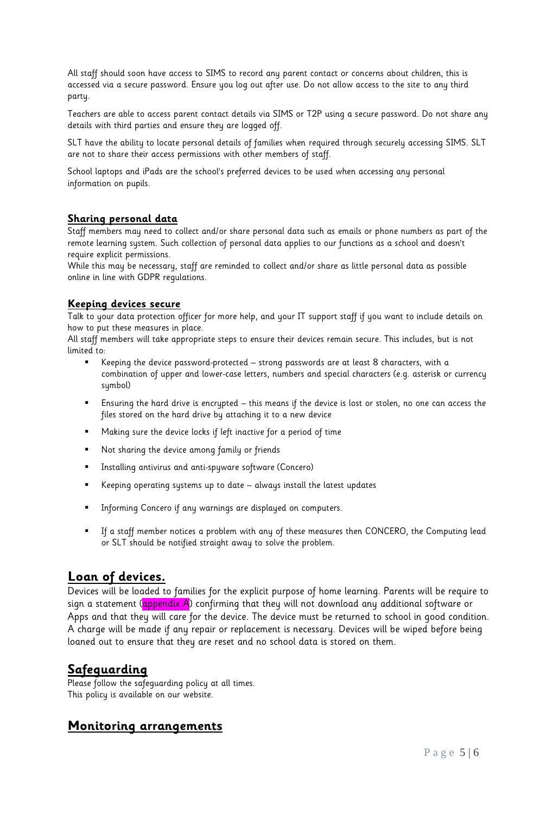All staff should soon have access to SIMS to record any parent contact or concerns about children, this is accessed via a secure password. Ensure you log out after use. Do not allow access to the site to any third party.

Teachers are able to access parent contact details via SIMS or T2P using a secure password. Do not share any details with third parties and ensure they are logged off.

SLT have the ability to locate personal details of families when required through securely accessing SIMS. SLT are not to share their access permissions with other members of staff.

School laptops and iPads are the school's preferred devices to be used when accessing any personal information on pupils.

#### **Sharing personal data**

Staff members may need to collect and/or share personal data such as emails or phone numbers as part of the remote learning system. Such collection of personal data applies to our functions as a school and doesn't require explicit permissions.

While this may be necessary, staff are reminded to collect and/or share as little personal data as possible online in line with GDPR regulations.

#### **Keeping devices secure**

Talk to your data protection officer for more help, and your IT support staff if you want to include details on how to put these measures in place.

All staff members will take appropriate steps to ensure their devices remain secure. This includes, but is not limited to:

- Keeping the device password-protected strong passwords are at least 8 characters, with a combination of upper and lower-case letters, numbers and special characters (e.g. asterisk or currency symbol)
- Ensuring the hard drive is encrypted this means if the device is lost or stolen, no one can access the files stored on the hard drive by attaching it to a new device
- Making sure the device locks if left inactive for a period of time
- Not sharing the device among family or friends
- Installing antivirus and anti-spyware software (Concero)
- Keeping operating systems up to date always install the latest updates
- Informing Concero if any warnings are displayed on computers.
- If a staff member notices a problem with any of these measures then CONCERO, the Computing lead or SLT should be notified straight away to solve the problem.

# **Loan of devices.**

Devices will be loaded to families for the explicit purpose of home learning. Parents will be require to sign a statement (**appendix A**) confirming that they will not download any additional software or Apps and that they will care for the device. The device must be returned to school in good condition. A charge will be made if any repair or replacement is necessary. Devices will be wiped before being loaned out to ensure that they are reset and no school data is stored on them.

### **Safeguarding**

Please follow the safeguarding policy at all times. This policy is available on our website.

#### **Monitoring arrangements**